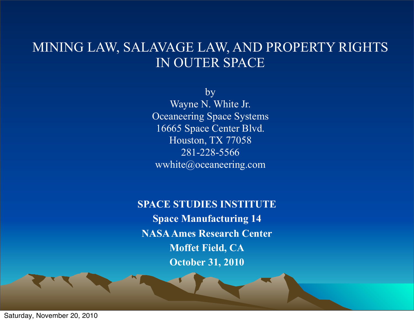#### MINING LAW, SALAVAGE LAW, AND PROPERTY RIGHTS IN OUTER SPACE

by Wayne N. White Jr. Oceaneering Space Systems 16665 Space Center Blvd. Houston, TX 77058 281-228-5566 wwhite@oceaneering.com

**SPACE STUDIES INSTITUTE Space Manufacturing 14 NASA Ames Research Center Moffet Field, CA October 31, 2010**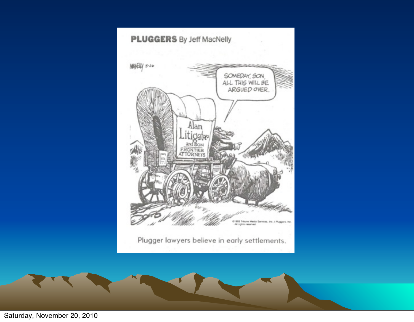

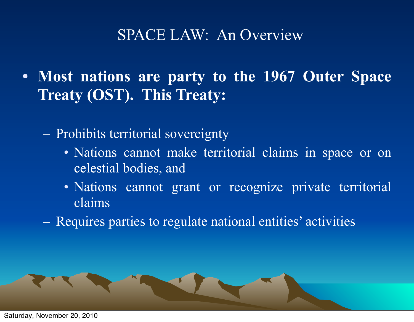### SPACE LAW: An Overview

- **• Most nations are party to the 1967 Outer Space Treaty (OST). This Treaty:**
	- Prohibits territorial sovereignty
		- Nations cannot make territorial claims in space or on celestial bodies, and
		- Nations cannot grant or recognize private territorial claims
	- Requires parties to regulate national entities' activities

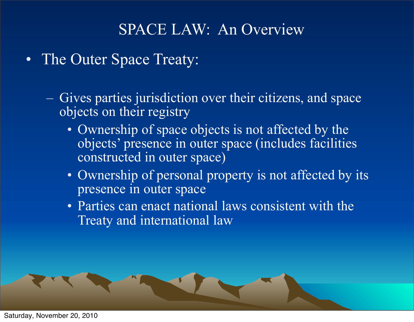### SPACE LAW: An Overview

- The Outer Space Treaty:
	- Gives parties jurisdiction over their citizens, and space objects on their registry
		- Ownership of space objects is not affected by the objects' presence in outer space (includes facilities constructed in outer space)
		- Ownership of personal property is not affected by its presence in outer space
		- Parties can enact national laws consistent with the Treaty and international law

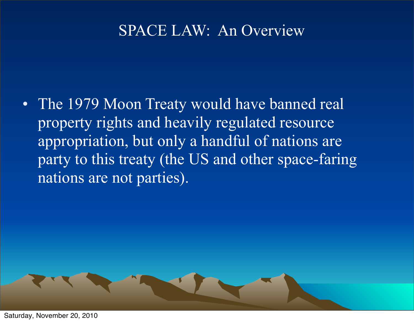### SPACE LAW: An Overview

• The 1979 Moon Treaty would have banned real property rights and heavily regulated resource appropriation, but only a handful of nations are party to this treaty (the US and other space-faring nations are not parties).

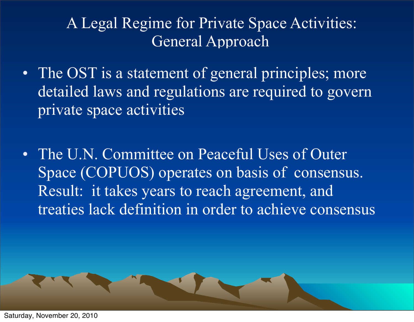- The OST is a statement of general principles; more detailed laws and regulations are required to govern private space activities
- The U.N. Committee on Peaceful Uses of Outer Space (COPUOS) operates on basis of consensus. Result: it takes years to reach agreement, and treaties lack definition in order to achieve consensus

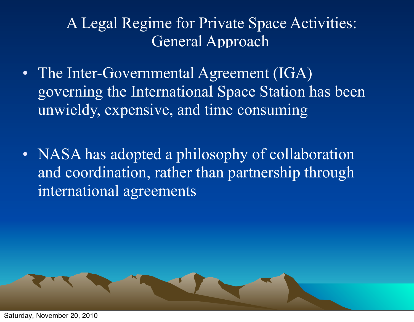- The Inter-Governmental Agreement (IGA) governing the International Space Station has been unwieldy, expensive, and time consuming
- NASA has adopted a philosophy of collaboration and coordination, rather than partnership through international agreements

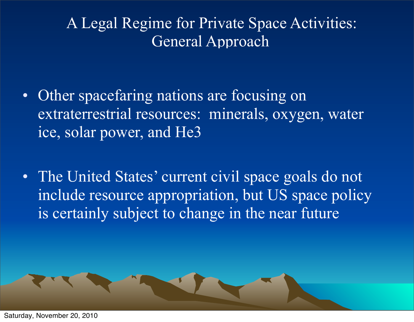- Other spacefaring nations are focusing on extraterrestrial resources: minerals, oxygen, water ice, solar power, and He3
- The United States' current civil space goals do not include resource appropriation, but US space policy is certainly subject to change in the near future

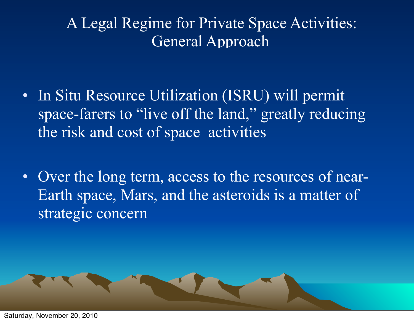- In Situ Resource Utilization (ISRU) will permit space-farers to "live off the land," greatly reducing the risk and cost of space activities
- Over the long term, access to the resources of near-Earth space, Mars, and the asteroids is a matter of strategic concern

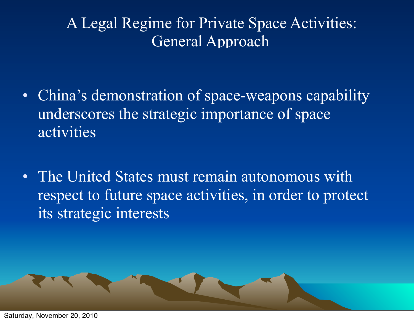- China's demonstration of space-weapons capability underscores the strategic importance of space activities
- The United States must remain autonomous with respect to future space activities, in order to protect its strategic interests

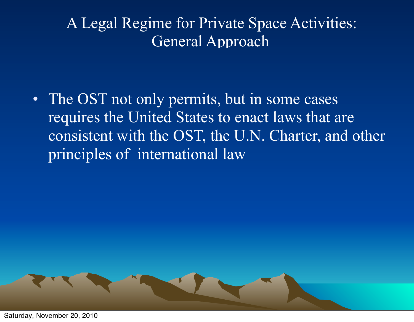• The OST not only permits, but in some cases requires the United States to enact laws that are consistent with the OST, the U.N. Charter, and other principles of international law

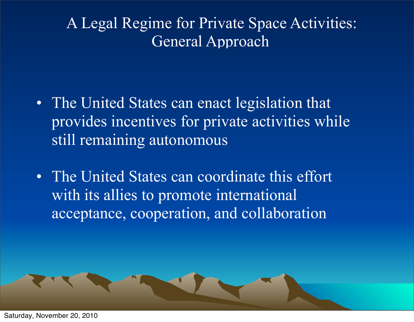- The United States can enact legislation that provides incentives for private activities while still remaining autonomous
- The United States can coordinate this effort with its allies to promote international acceptance, cooperation, and collaboration

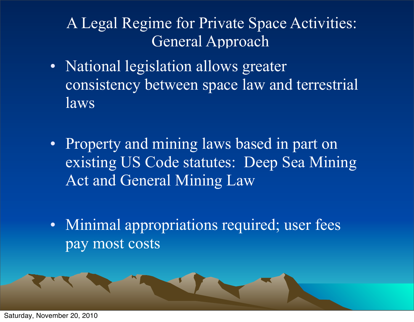- National legislation allows greater consistency between space law and terrestrial laws
- Property and mining laws based in part on existing US Code statutes: Deep Sea Mining Act and General Mining Law
- Minimal appropriations required; user fees pay most costs

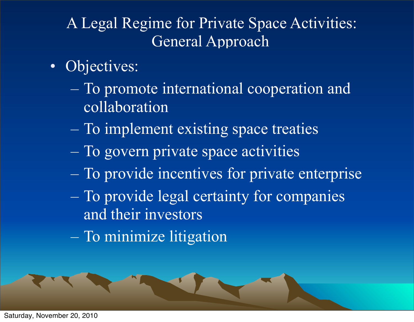- Objectives:
	- To promote international cooperation and collaboration
	- To implement existing space treaties
	- To govern private space activities
	- To provide incentives for private enterprise
	- To provide legal certainty for companies and their investors
	- To minimize litigation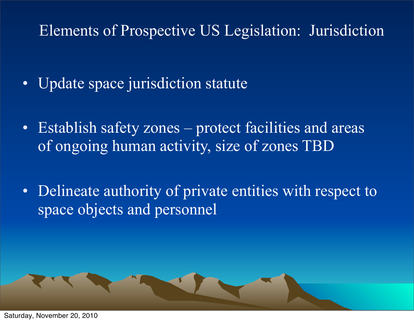# Elements of Prospective US Legislation: Jurisdiction

- Update space jurisdiction statute
- Establish safety zones protect facilities and areas of ongoing human activity, size of zones TBD
- Delineate authority of private entities with respect to space objects and personnel

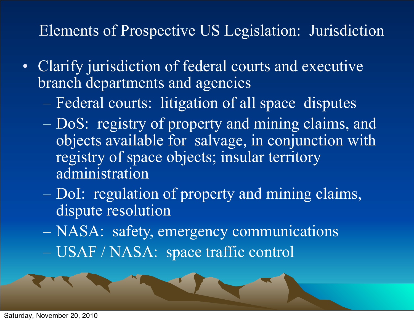# Elements of Prospective US Legislation: Jurisdiction

- Clarify jurisdiction of federal courts and executive branch departments and agencies
	- Federal courts: litigation of all space disputes
	- DoS: registry of property and mining claims, and objects available for salvage, in conjunction with registry of space objects; insular territory administration
	- DoI: regulation of property and mining claims, dispute resolution
	- NASA: safety, emergency communications
	- USAF / NASA: space traffic control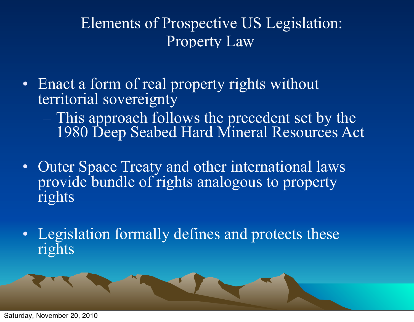- Enact a form of real property rights without territorial sovereignty
	- This approach follows the precedent set by the 1980 Deep Seabed Hard Mineral Resources Act
- Outer Space Treaty and other international laws provide bundle of rights analogous to property rights
- Legislation formally defines and protects these rights

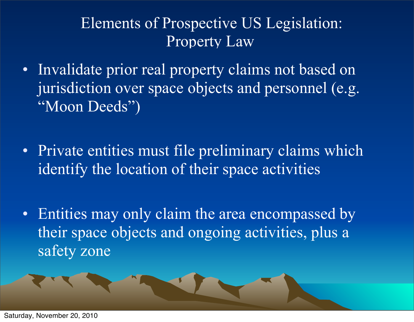- Invalidate prior real property claims not based on jurisdiction over space objects and personnel (e.g. "Moon Deeds")
- Private entities must file preliminary claims which identify the location of their space activities
- Entities may only claim the area encompassed by their space objects and ongoing activities, plus a safety zone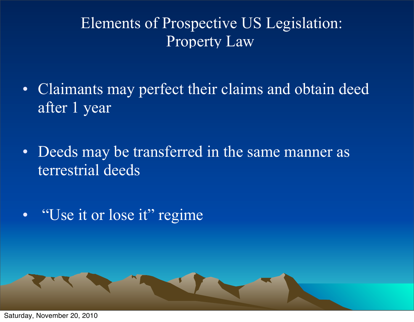- Claimants may perfect their claims and obtain deed after 1 year
- Deeds may be transferred in the same manner as terrestrial deeds
- "Use it or lose it" regime

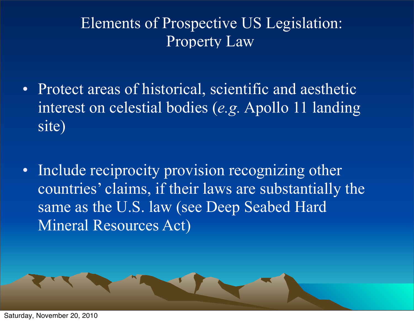- Protect areas of historical, scientific and aesthetic interest on celestial bodies (*e.g.* Apollo 11 landing site)
- Include reciprocity provision recognizing other countries' claims, if their laws are substantially the same as the U.S. law (see Deep Seabed Hard Mineral Resources Act)

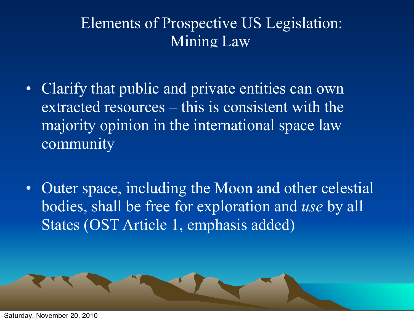# Elements of Prospective US Legislation: Mining Law

- Clarify that public and private entities can own extracted resources – this is consistent with the majority opinion in the international space law community
- Outer space, including the Moon and other celestial bodies, shall be free for exploration and *use* by all States (OST Article 1, emphasis added)

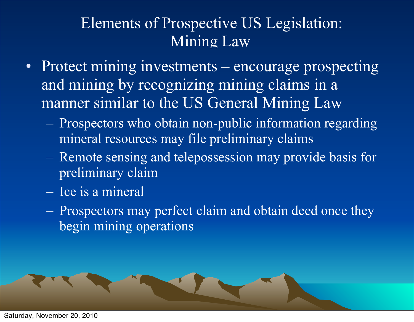# Elements of Prospective US Legislation: Mining Law

- Protect mining investments encourage prospecting and mining by recognizing mining claims in a manner similar to the US General Mining Law
	- Prospectors who obtain non-public information regarding mineral resources may file preliminary claims
	- Remote sensing and telepossession may provide basis for preliminary claim
	- Ice is a mineral
	- Prospectors may perfect claim and obtain deed once they begin mining operations